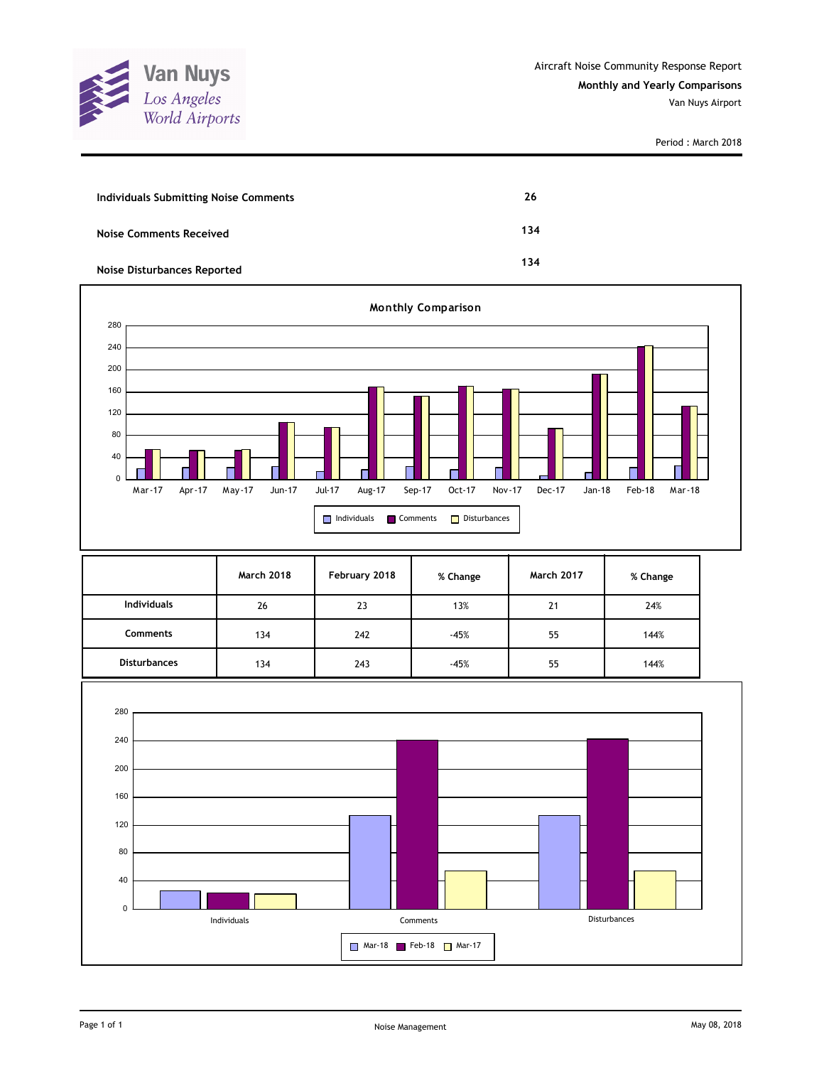

| <b>Individuals Submitting Noise Comments</b> | 26  |
|----------------------------------------------|-----|
| <b>Noise Comments Received</b>               | 134 |
| <b>Noise Disturbances Reported</b>           | 134 |



|                     | <b>March 2018</b> | February 2018 | % Change | <b>March 2017</b> | % Change |
|---------------------|-------------------|---------------|----------|-------------------|----------|
| <b>Individuals</b>  | 26                | 23            | 13%      | 21                | 24%      |
| <b>Comments</b>     | 134               | 242           | $-45%$   | 55                | 144%     |
| <b>Disturbances</b> | 134               | 243           | $-45%$   | 55                | 144%     |

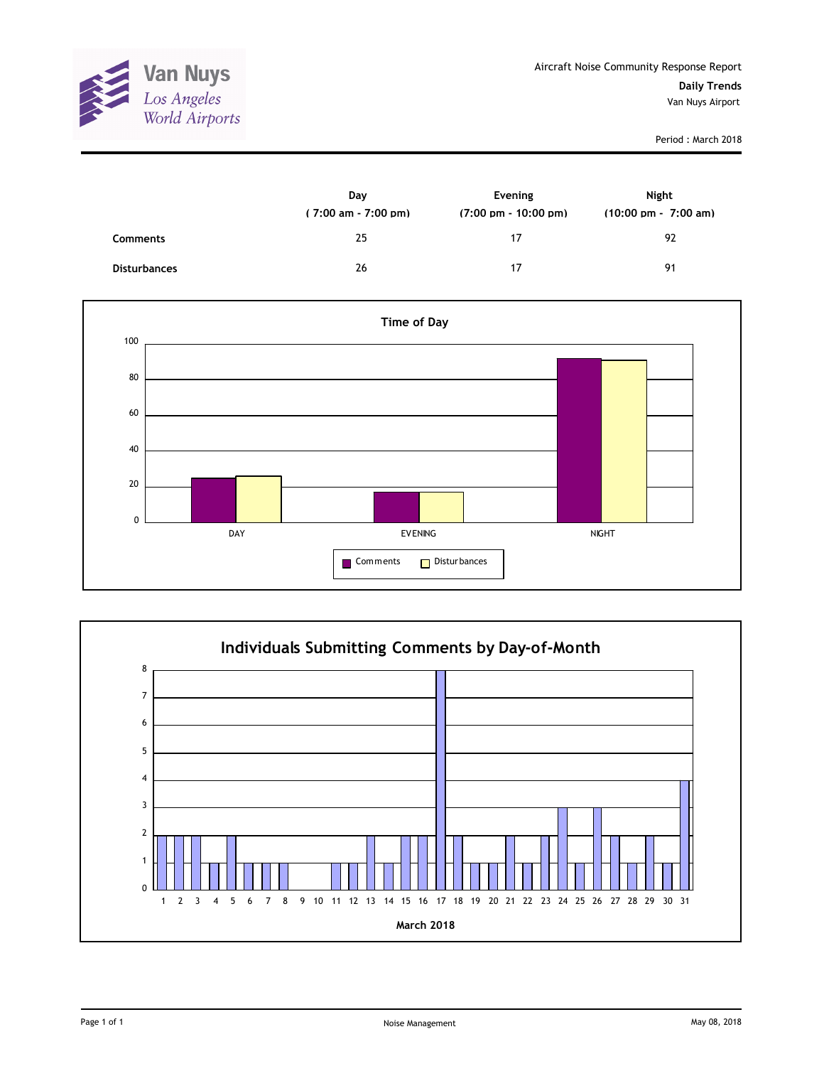

|                     | Day<br>$(7:00 \text{ am} - 7:00 \text{ pm})$ | Evening<br>$(7:00 \text{ pm} - 10:00 \text{ pm})$ | Night<br>$(10:00 \text{ pm} - 7:00 \text{ am})$ |
|---------------------|----------------------------------------------|---------------------------------------------------|-------------------------------------------------|
| <b>Comments</b>     | 25                                           | 17                                                | 92                                              |
| <b>Disturbances</b> | 26                                           | 17                                                | 91                                              |



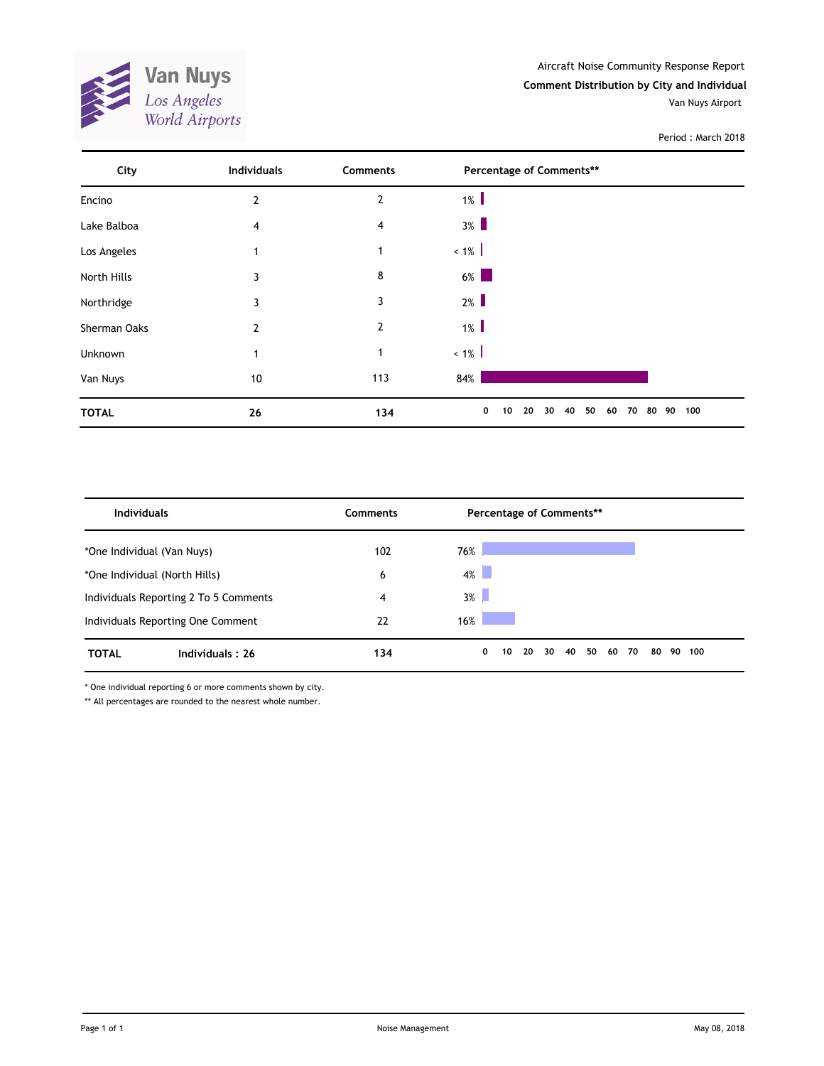

| City         | <b>Individuals</b> | <b>Comments</b> | Percentage of Comments**                             |     |
|--------------|--------------------|-----------------|------------------------------------------------------|-----|
| Encino       | $\overline{2}$     | $\overline{2}$  | $1\%$                                                |     |
| Lake Balboa  | 4                  | 4               | $3\%$                                                |     |
| Los Angeles  | 1                  | $\mathbf{1}$    | $~1\%$                                               |     |
| North Hills  | 3                  | 8               | $6\%$                                                |     |
| Northridge   | 3                  | 3               | $2\%$                                                |     |
| Sherman Oaks | $\mathbf{2}$       | $\mathbf{2}$    | $1\%$                                                |     |
| Unknown      | 1                  | 1               | $~1\%$                                               |     |
| Van Nuys     | 10                 | 113             | 84%                                                  |     |
| <b>TOTAL</b> | 26                 | 134             | 20<br>40<br>50<br>80 90<br>0<br>10<br>30<br>60<br>70 | 100 |

| <b>Individuals</b>                    |                 | Comments | Percentage of Comments** |                            |    |        |
|---------------------------------------|-----------------|----------|--------------------------|----------------------------|----|--------|
| *One Individual (Van Nuys)            |                 | 102      | 76%                      |                            |    |        |
| *One Individual (North Hills)         |                 | 6        | $4\%$                    |                            |    |        |
| Individuals Reporting 2 To 5 Comments |                 | 4        | $3\%$                    |                            |    |        |
| Individuals Reporting One Comment     |                 | 22       | 16%                      |                            |    |        |
| <b>TOTAL</b>                          | Individuals: 26 | 134      | 0<br>20<br>10            | 40<br>50<br>30<br>70<br>60 | 80 | 90 100 |

\* One individual reporting 6 or more comments shown by city.

\*\* All percentages are rounded to the nearest whole number.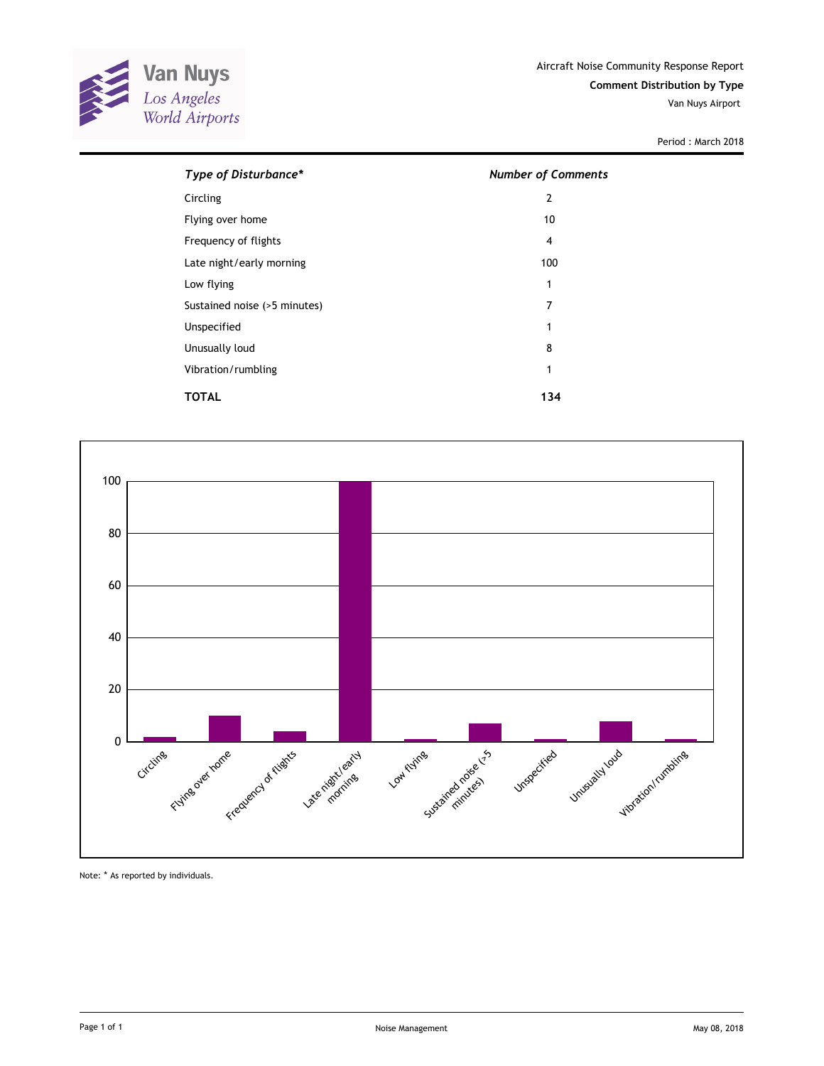

| Type of Disturbance*         | <b>Number of Comments</b> |  |  |  |
|------------------------------|---------------------------|--|--|--|
| Circling                     | 2                         |  |  |  |
| Flying over home             | 10                        |  |  |  |
| Frequency of flights         | 4                         |  |  |  |
| Late night/early morning     | 100                       |  |  |  |
| Low flying                   | 1                         |  |  |  |
| Sustained noise (>5 minutes) | 7                         |  |  |  |
| Unspecified                  | 1                         |  |  |  |
| Unusually loud               | 8                         |  |  |  |
| Vibration/rumbling           | 1                         |  |  |  |
| TOTAL                        | 134                       |  |  |  |



Note: \* As reported by individuals.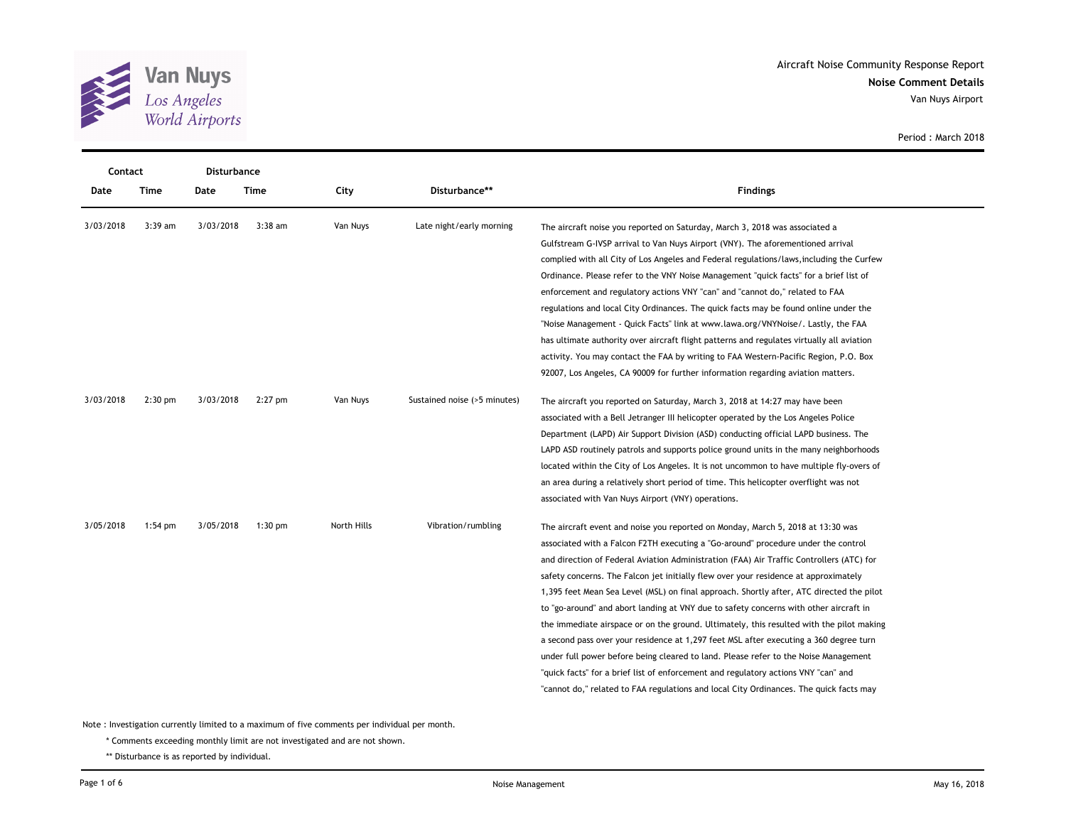

| Contact   |           | <b>Disturbance</b> |           |             |                              |                                                                                           |
|-----------|-----------|--------------------|-----------|-------------|------------------------------|-------------------------------------------------------------------------------------------|
| Date      | Time      | Date               | Time      | City        | Disturbance**                | <b>Findings</b>                                                                           |
| 3/03/2018 | $3:39$ am | 3/03/2018          | $3:38$ am | Van Nuys    | Late night/early morning     | The aircraft noise you reported on Saturday, March 3, 2018 was associated a               |
|           |           |                    |           |             |                              | Gulfstream G-IVSP arrival to Van Nuys Airport (VNY). The aforementioned arrival           |
|           |           |                    |           |             |                              | complied with all City of Los Angeles and Federal regulations/laws, including the Curfew  |
|           |           |                    |           |             |                              | Ordinance. Please refer to the VNY Noise Management "quick facts" for a brief list of     |
|           |           |                    |           |             |                              | enforcement and regulatory actions VNY "can" and "cannot do," related to FAA              |
|           |           |                    |           |             |                              | regulations and local City Ordinances. The quick facts may be found online under the      |
|           |           |                    |           |             |                              | "Noise Management - Quick Facts" link at www.lawa.org/VNYNoise/. Lastly, the FAA          |
|           |           |                    |           |             |                              | has ultimate authority over aircraft flight patterns and regulates virtually all aviation |
|           |           |                    |           |             |                              | activity. You may contact the FAA by writing to FAA Western-Pacific Region, P.O. Box      |
|           |           |                    |           |             |                              | 92007, Los Angeles, CA 90009 for further information regarding aviation matters.          |
| 3/03/2018 | $2:30$ pm | 3/03/2018          | $2:27$ pm | Van Nuys    | Sustained noise (>5 minutes) | The aircraft you reported on Saturday, March 3, 2018 at 14:27 may have been               |
|           |           |                    |           |             |                              | associated with a Bell Jetranger III helicopter operated by the Los Angeles Police        |
|           |           |                    |           |             |                              | Department (LAPD) Air Support Division (ASD) conducting official LAPD business. The       |
|           |           |                    |           |             |                              | LAPD ASD routinely patrols and supports police ground units in the many neighborhoods     |
|           |           |                    |           |             |                              | located within the City of Los Angeles. It is not uncommon to have multiple fly-overs of  |
|           |           |                    |           |             |                              | an area during a relatively short period of time. This helicopter overflight was not      |
|           |           |                    |           |             |                              | associated with Van Nuys Airport (VNY) operations.                                        |
| 3/05/2018 | $1:54$ pm | 3/05/2018          | $1:30$ pm | North Hills | Vibration/rumbling           | The aircraft event and noise you reported on Monday, March 5, 2018 at 13:30 was           |
|           |           |                    |           |             |                              | associated with a Falcon F2TH executing a "Go-around" procedure under the control         |
|           |           |                    |           |             |                              | and direction of Federal Aviation Administration (FAA) Air Traffic Controllers (ATC) for  |
|           |           |                    |           |             |                              | safety concerns. The Falcon jet initially flew over your residence at approximately       |
|           |           |                    |           |             |                              | 1,395 feet Mean Sea Level (MSL) on final approach. Shortly after, ATC directed the pilot  |
|           |           |                    |           |             |                              | to "go-around" and abort landing at VNY due to safety concerns with other aircraft in     |
|           |           |                    |           |             |                              | the immediate airspace or on the ground. Ultimately, this resulted with the pilot making  |
|           |           |                    |           |             |                              | a second pass over your residence at 1,297 feet MSL after executing a 360 degree turn     |
|           |           |                    |           |             |                              | under full power before being cleared to land. Please refer to the Noise Management       |
|           |           |                    |           |             |                              | "quick facts" for a brief list of enforcement and regulatory actions VNY "can" and        |
|           |           |                    |           |             |                              | "cannot do," related to FAA regulations and local City Ordinances. The quick facts may    |

Note : Investigation currently limited to a maximum of five comments per individual per month.

\* Comments exceeding monthly limit are not investigated and are not shown.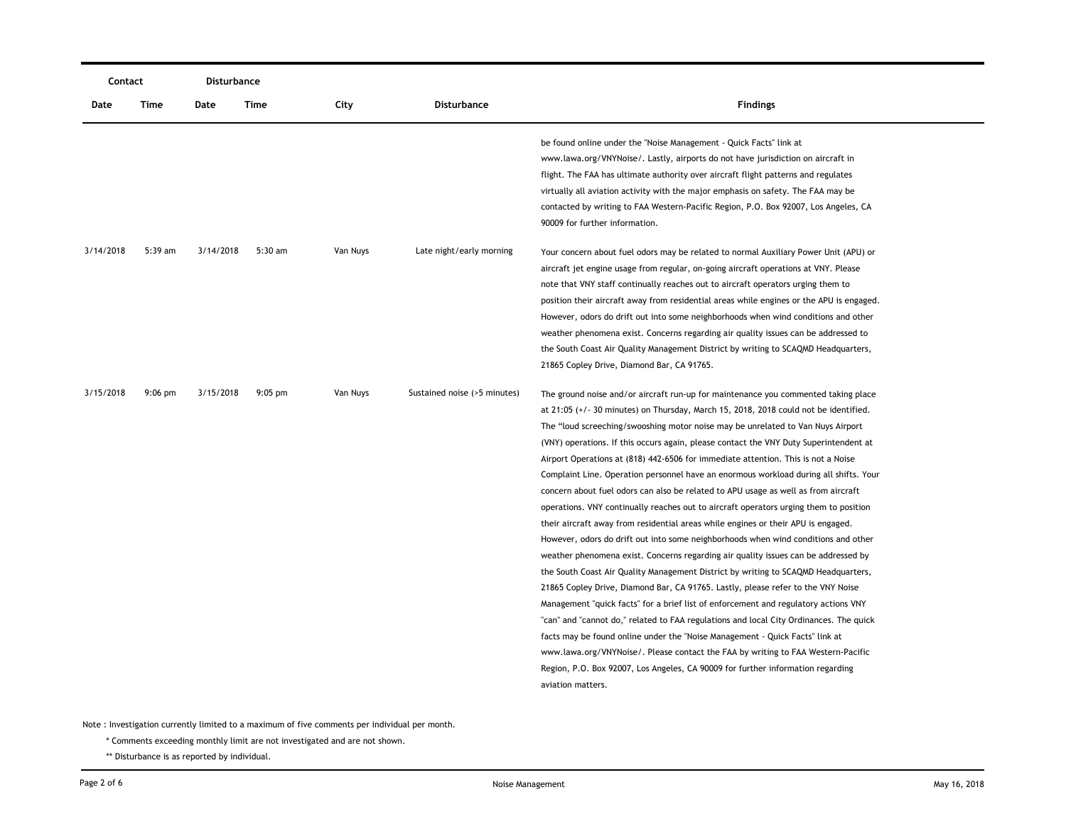| Contact   |           | Disturbance |           |          |                              |                                                                                                                                                                                                                                                                                                                                                                                                                                                                                                                                                                                                                                                                                                                                                                                                                                                                                                                                                                                                                                                                                                                                                                                                                                                                                                                                                                                                                                                                                                                                                                                                                             |
|-----------|-----------|-------------|-----------|----------|------------------------------|-----------------------------------------------------------------------------------------------------------------------------------------------------------------------------------------------------------------------------------------------------------------------------------------------------------------------------------------------------------------------------------------------------------------------------------------------------------------------------------------------------------------------------------------------------------------------------------------------------------------------------------------------------------------------------------------------------------------------------------------------------------------------------------------------------------------------------------------------------------------------------------------------------------------------------------------------------------------------------------------------------------------------------------------------------------------------------------------------------------------------------------------------------------------------------------------------------------------------------------------------------------------------------------------------------------------------------------------------------------------------------------------------------------------------------------------------------------------------------------------------------------------------------------------------------------------------------------------------------------------------------|
| Date      | Time      | Date        | Time      | City     | <b>Disturbance</b>           | <b>Findings</b>                                                                                                                                                                                                                                                                                                                                                                                                                                                                                                                                                                                                                                                                                                                                                                                                                                                                                                                                                                                                                                                                                                                                                                                                                                                                                                                                                                                                                                                                                                                                                                                                             |
|           |           |             |           |          |                              | be found online under the "Noise Management - Quick Facts" link at<br>www.lawa.org/VNYNoise/. Lastly, airports do not have jurisdiction on aircraft in<br>flight. The FAA has ultimate authority over aircraft flight patterns and regulates<br>virtually all aviation activity with the major emphasis on safety. The FAA may be<br>contacted by writing to FAA Western-Pacific Region, P.O. Box 92007, Los Angeles, CA<br>90009 for further information.                                                                                                                                                                                                                                                                                                                                                                                                                                                                                                                                                                                                                                                                                                                                                                                                                                                                                                                                                                                                                                                                                                                                                                  |
| 3/14/2018 | 5:39 am   | 3/14/2018   | $5:30$ am | Van Nuys | Late night/early morning     | Your concern about fuel odors may be related to normal Auxiliary Power Unit (APU) or<br>aircraft jet engine usage from regular, on-going aircraft operations at VNY. Please<br>note that VNY staff continually reaches out to aircraft operators urging them to<br>position their aircraft away from residential areas while engines or the APU is engaged.<br>However, odors do drift out into some neighborhoods when wind conditions and other<br>weather phenomena exist. Concerns regarding air quality issues can be addressed to<br>the South Coast Air Quality Management District by writing to SCAQMD Headquarters,<br>21865 Copley Drive, Diamond Bar, CA 91765.                                                                                                                                                                                                                                                                                                                                                                                                                                                                                                                                                                                                                                                                                                                                                                                                                                                                                                                                                 |
| 3/15/2018 | $9:06$ pm | 3/15/2018   | $9:05$ pm | Van Nuys | Sustained noise (>5 minutes) | The ground noise and/or aircraft run-up for maintenance you commented taking place<br>at 21:05 (+/- 30 minutes) on Thursday, March 15, 2018, 2018 could not be identified.<br>The "loud screeching/swooshing motor noise may be unrelated to Van Nuys Airport<br>(VNY) operations. If this occurs again, please contact the VNY Duty Superintendent at<br>Airport Operations at (818) 442-6506 for immediate attention. This is not a Noise<br>Complaint Line. Operation personnel have an enormous workload during all shifts. Your<br>concern about fuel odors can also be related to APU usage as well as from aircraft<br>operations. VNY continually reaches out to aircraft operators urging them to position<br>their aircraft away from residential areas while engines or their APU is engaged.<br>However, odors do drift out into some neighborhoods when wind conditions and other<br>weather phenomena exist. Concerns regarding air quality issues can be addressed by<br>the South Coast Air Quality Management District by writing to SCAQMD Headquarters,<br>21865 Copley Drive, Diamond Bar, CA 91765. Lastly, please refer to the VNY Noise<br>Management "quick facts" for a brief list of enforcement and regulatory actions VNY<br>"can" and "cannot do," related to FAA regulations and local City Ordinances. The quick<br>facts may be found online under the "Noise Management - Quick Facts" link at<br>www.lawa.org/VNYNoise/. Please contact the FAA by writing to FAA Western-Pacific<br>Region, P.O. Box 92007, Los Angeles, CA 90009 for further information regarding<br>aviation matters. |

\* Comments exceeding monthly limit are not investigated and are not shown.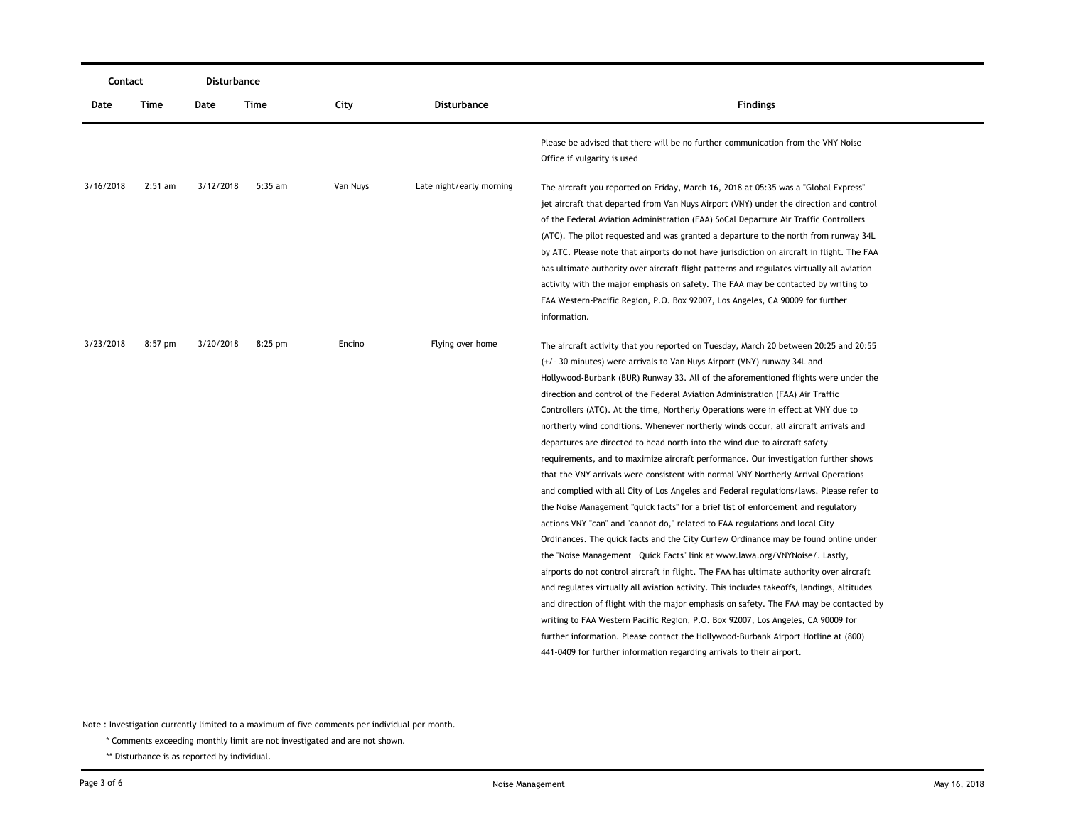| Contact   |           | Disturbance |           |          |                          |                                                                                                                                                                                                                                                                                                                                                                                                                                                                                                                                                                                                                                                                                                                                                                                                                                                                                                                                                                                                                                                                                                                                                                                                                                                                                                                                                                                                                                                                                                                                                                                                                                                                                                                                                              |
|-----------|-----------|-------------|-----------|----------|--------------------------|--------------------------------------------------------------------------------------------------------------------------------------------------------------------------------------------------------------------------------------------------------------------------------------------------------------------------------------------------------------------------------------------------------------------------------------------------------------------------------------------------------------------------------------------------------------------------------------------------------------------------------------------------------------------------------------------------------------------------------------------------------------------------------------------------------------------------------------------------------------------------------------------------------------------------------------------------------------------------------------------------------------------------------------------------------------------------------------------------------------------------------------------------------------------------------------------------------------------------------------------------------------------------------------------------------------------------------------------------------------------------------------------------------------------------------------------------------------------------------------------------------------------------------------------------------------------------------------------------------------------------------------------------------------------------------------------------------------------------------------------------------------|
| Date      | Time      | Date        | Time      | City     | <b>Disturbance</b>       | <b>Findings</b>                                                                                                                                                                                                                                                                                                                                                                                                                                                                                                                                                                                                                                                                                                                                                                                                                                                                                                                                                                                                                                                                                                                                                                                                                                                                                                                                                                                                                                                                                                                                                                                                                                                                                                                                              |
|           |           |             |           |          |                          | Please be advised that there will be no further communication from the VNY Noise<br>Office if vulgarity is used                                                                                                                                                                                                                                                                                                                                                                                                                                                                                                                                                                                                                                                                                                                                                                                                                                                                                                                                                                                                                                                                                                                                                                                                                                                                                                                                                                                                                                                                                                                                                                                                                                              |
| 3/16/2018 | $2:51$ am | 3/12/2018   | $5:35$ am | Van Nuys | Late night/early morning | The aircraft you reported on Friday, March 16, 2018 at 05:35 was a "Global Express"<br>jet aircraft that departed from Van Nuys Airport (VNY) under the direction and control<br>of the Federal Aviation Administration (FAA) SoCal Departure Air Traffic Controllers<br>(ATC). The pilot requested and was granted a departure to the north from runway 34L<br>by ATC. Please note that airports do not have jurisdiction on aircraft in flight. The FAA<br>has ultimate authority over aircraft flight patterns and regulates virtually all aviation<br>activity with the major emphasis on safety. The FAA may be contacted by writing to<br>FAA Western-Pacific Region, P.O. Box 92007, Los Angeles, CA 90009 for further<br>information.                                                                                                                                                                                                                                                                                                                                                                                                                                                                                                                                                                                                                                                                                                                                                                                                                                                                                                                                                                                                                |
| 3/23/2018 | $8:57$ pm | 3/20/2018   | $8:25$ pm | Encino   | Flying over home         | The aircraft activity that you reported on Tuesday, March 20 between 20:25 and 20:55<br>(+/- 30 minutes) were arrivals to Van Nuys Airport (VNY) runway 34L and<br>Hollywood-Burbank (BUR) Runway 33. All of the aforementioned flights were under the<br>direction and control of the Federal Aviation Administration (FAA) Air Traffic<br>Controllers (ATC). At the time, Northerly Operations were in effect at VNY due to<br>northerly wind conditions. Whenever northerly winds occur, all aircraft arrivals and<br>departures are directed to head north into the wind due to aircraft safety<br>requirements, and to maximize aircraft performance. Our investigation further shows<br>that the VNY arrivals were consistent with normal VNY Northerly Arrival Operations<br>and complied with all City of Los Angeles and Federal regulations/laws. Please refer to<br>the Noise Management "quick facts" for a brief list of enforcement and regulatory<br>actions VNY "can" and "cannot do," related to FAA regulations and local City<br>Ordinances. The quick facts and the City Curfew Ordinance may be found online under<br>the "Noise Management Quick Facts" link at www.lawa.org/VNYNoise/. Lastly,<br>airports do not control aircraft in flight. The FAA has ultimate authority over aircraft<br>and regulates virtually all aviation activity. This includes takeoffs, landings, altitudes<br>and direction of flight with the major emphasis on safety. The FAA may be contacted by<br>writing to FAA Western Pacific Region, P.O. Box 92007, Los Angeles, CA 90009 for<br>further information. Please contact the Hollywood-Burbank Airport Hotline at (800)<br>441-0409 for further information regarding arrivals to their airport. |

\* Comments exceeding monthly limit are not investigated and are not shown.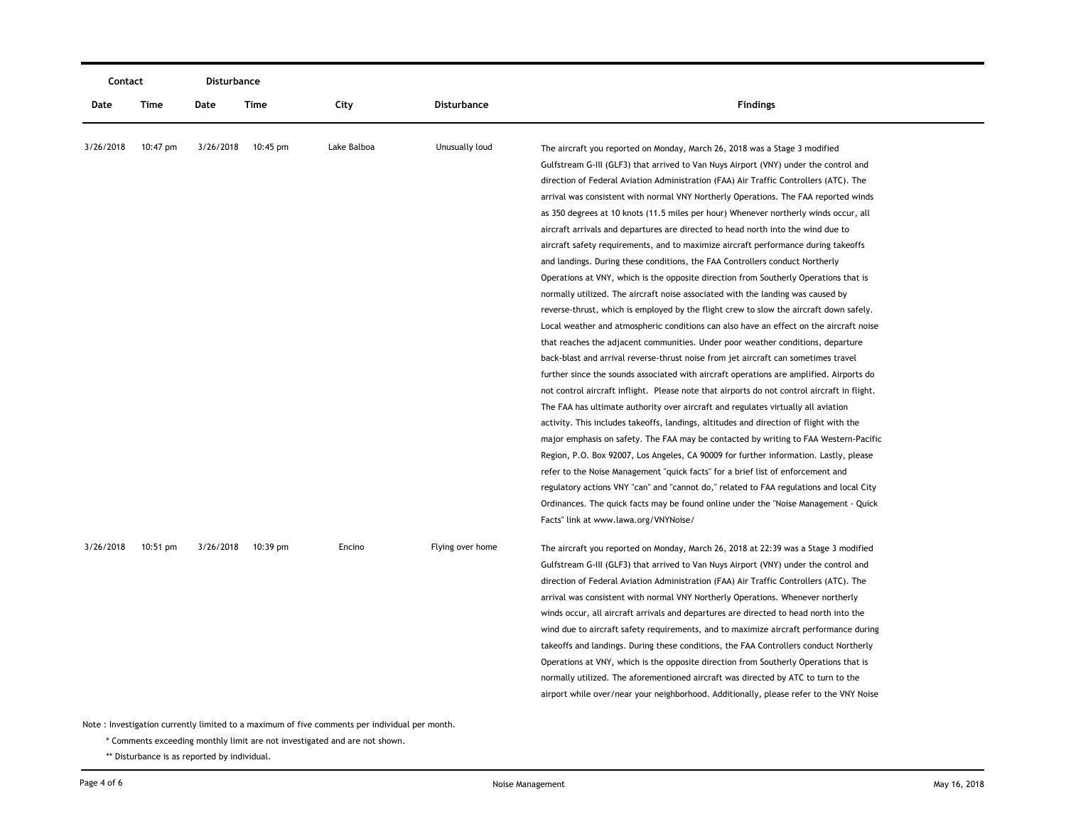| Contact   |          | Disturbance |                    |             |                    |                                                                                                                                                                                                                                                                                                                                                                                                                                                                                                                                                                                                                                                                                                                                                                                                                                                                                                                                                                                                                                                                                                                                                                                                                                                                                                                                                                                                                                                                                                                                                                                                                                                                                                                                                                                                                                                                                                                                                                                                                                                                                                                      |
|-----------|----------|-------------|--------------------|-------------|--------------------|----------------------------------------------------------------------------------------------------------------------------------------------------------------------------------------------------------------------------------------------------------------------------------------------------------------------------------------------------------------------------------------------------------------------------------------------------------------------------------------------------------------------------------------------------------------------------------------------------------------------------------------------------------------------------------------------------------------------------------------------------------------------------------------------------------------------------------------------------------------------------------------------------------------------------------------------------------------------------------------------------------------------------------------------------------------------------------------------------------------------------------------------------------------------------------------------------------------------------------------------------------------------------------------------------------------------------------------------------------------------------------------------------------------------------------------------------------------------------------------------------------------------------------------------------------------------------------------------------------------------------------------------------------------------------------------------------------------------------------------------------------------------------------------------------------------------------------------------------------------------------------------------------------------------------------------------------------------------------------------------------------------------------------------------------------------------------------------------------------------------|
| Date      | Time     | Date        | Time               | City        | <b>Disturbance</b> | <b>Findings</b>                                                                                                                                                                                                                                                                                                                                                                                                                                                                                                                                                                                                                                                                                                                                                                                                                                                                                                                                                                                                                                                                                                                                                                                                                                                                                                                                                                                                                                                                                                                                                                                                                                                                                                                                                                                                                                                                                                                                                                                                                                                                                                      |
| 3/26/2018 | 10:47 pm | 3/26/2018   | $10:45 \text{ pm}$ | Lake Balboa | Unusually loud     | The aircraft you reported on Monday, March 26, 2018 was a Stage 3 modified<br>Gulfstream G-III (GLF3) that arrived to Van Nuys Airport (VNY) under the control and<br>direction of Federal Aviation Administration (FAA) Air Traffic Controllers (ATC). The<br>arrival was consistent with normal VNY Northerly Operations. The FAA reported winds<br>as 350 degrees at 10 knots (11.5 miles per hour) Whenever northerly winds occur, all<br>aircraft arrivals and departures are directed to head north into the wind due to<br>aircraft safety requirements, and to maximize aircraft performance during takeoffs<br>and landings. During these conditions, the FAA Controllers conduct Northerly<br>Operations at VNY, which is the opposite direction from Southerly Operations that is<br>normally utilized. The aircraft noise associated with the landing was caused by<br>reverse-thrust, which is employed by the flight crew to slow the aircraft down safely.<br>Local weather and atmospheric conditions can also have an effect on the aircraft noise<br>that reaches the adjacent communities. Under poor weather conditions, departure<br>back-blast and arrival reverse-thrust noise from jet aircraft can sometimes travel<br>further since the sounds associated with aircraft operations are amplified. Airports do<br>not control aircraft inflight. Please note that airports do not control aircraft in flight.<br>The FAA has ultimate authority over aircraft and regulates virtually all aviation<br>activity. This includes takeoffs, landings, altitudes and direction of flight with the<br>major emphasis on safety. The FAA may be contacted by writing to FAA Western-Pacific<br>Region, P.O. Box 92007, Los Angeles, CA 90009 for further information. Lastly, please<br>refer to the Noise Management "quick facts" for a brief list of enforcement and<br>regulatory actions VNY "can" and "cannot do," related to FAA regulations and local City<br>Ordinances. The quick facts may be found online under the "Noise Management - Quick<br>Facts" link at www.lawa.org/VNYNoise/ |
| 3/26/2018 | 10:51 pm |             | 3/26/2018 10:39 pm | Encino      | Flying over home   | The aircraft you reported on Monday, March 26, 2018 at 22:39 was a Stage 3 modified<br>Gulfstream G-III (GLF3) that arrived to Van Nuys Airport (VNY) under the control and<br>direction of Federal Aviation Administration (FAA) Air Traffic Controllers (ATC). The<br>arrival was consistent with normal VNY Northerly Operations. Whenever northerly<br>winds occur, all aircraft arrivals and departures are directed to head north into the<br>wind due to aircraft safety requirements, and to maximize aircraft performance during<br>takeoffs and landings. During these conditions, the FAA Controllers conduct Northerly<br>Operations at VNY, which is the opposite direction from Southerly Operations that is<br>normally utilized. The aforementioned aircraft was directed by ATC to turn to the<br>airport while over/near your neighborhood. Additionally, please refer to the VNY Noise                                                                                                                                                                                                                                                                                                                                                                                                                                                                                                                                                                                                                                                                                                                                                                                                                                                                                                                                                                                                                                                                                                                                                                                                            |

\* Comments exceeding monthly limit are not investigated and are not shown.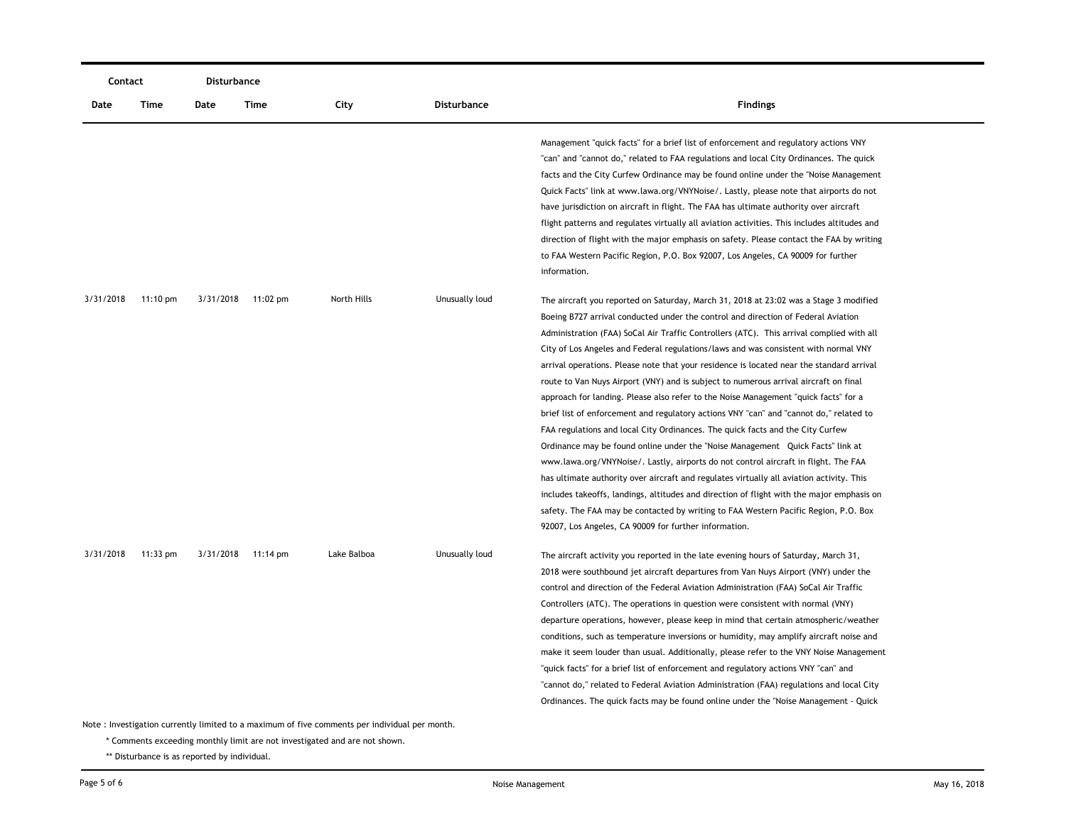|           | Contact                                                                                       |      | Disturbance        |             |                |                                                                                                                                                                                                                                                                                                                                                                                                                                                                                                                                                                                                                                                                                                                                                                                                                                                                                                                                                                                                                                                                                                                                                                                                                                                                                                                                        |  |  |  |  |
|-----------|-----------------------------------------------------------------------------------------------|------|--------------------|-------------|----------------|----------------------------------------------------------------------------------------------------------------------------------------------------------------------------------------------------------------------------------------------------------------------------------------------------------------------------------------------------------------------------------------------------------------------------------------------------------------------------------------------------------------------------------------------------------------------------------------------------------------------------------------------------------------------------------------------------------------------------------------------------------------------------------------------------------------------------------------------------------------------------------------------------------------------------------------------------------------------------------------------------------------------------------------------------------------------------------------------------------------------------------------------------------------------------------------------------------------------------------------------------------------------------------------------------------------------------------------|--|--|--|--|
| Date      | Time                                                                                          | Date | Time               | City        | Disturbance    | <b>Findings</b>                                                                                                                                                                                                                                                                                                                                                                                                                                                                                                                                                                                                                                                                                                                                                                                                                                                                                                                                                                                                                                                                                                                                                                                                                                                                                                                        |  |  |  |  |
|           |                                                                                               |      |                    |             |                | Management "quick facts" for a brief list of enforcement and regulatory actions VNY<br>"can" and "cannot do," related to FAA regulations and local City Ordinances. The quick<br>facts and the City Curfew Ordinance may be found online under the "Noise Management"<br>Quick Facts" link at www.lawa.org/VNYNoise/. Lastly, please note that airports do not<br>have jurisdiction on aircraft in flight. The FAA has ultimate authority over aircraft<br>flight patterns and regulates virtually all aviation activities. This includes altitudes and<br>direction of flight with the major emphasis on safety. Please contact the FAA by writing<br>to FAA Western Pacific Region, P.O. Box 92007, Los Angeles, CA 90009 for further<br>information.                                                                                                                                                                                                                                                                                                                                                                                                                                                                                                                                                                                |  |  |  |  |
| 3/31/2018 | 11:10 pm                                                                                      |      | 3/31/2018 11:02 pm | North Hills | Unusually loud | The aircraft you reported on Saturday, March 31, 2018 at 23:02 was a Stage 3 modified<br>Boeing B727 arrival conducted under the control and direction of Federal Aviation<br>Administration (FAA) SoCal Air Traffic Controllers (ATC). This arrival complied with all<br>City of Los Angeles and Federal regulations/laws and was consistent with normal VNY<br>arrival operations. Please note that your residence is located near the standard arrival<br>route to Van Nuys Airport (VNY) and is subject to numerous arrival aircraft on final<br>approach for landing. Please also refer to the Noise Management "quick facts" for a<br>brief list of enforcement and regulatory actions VNY "can" and "cannot do," related to<br>FAA regulations and local City Ordinances. The quick facts and the City Curfew<br>Ordinance may be found online under the "Noise Management Quick Facts" link at<br>www.lawa.org/VNYNoise/. Lastly, airports do not control aircraft in flight. The FAA<br>has ultimate authority over aircraft and regulates virtually all aviation activity. This<br>includes takeoffs, landings, altitudes and direction of flight with the major emphasis on<br>safety. The FAA may be contacted by writing to FAA Western Pacific Region, P.O. Box<br>92007, Los Angeles, CA 90009 for further information. |  |  |  |  |
| 3/31/2018 | $11:33$ pm                                                                                    |      | 3/31/2018 11:14 pm | Lake Balboa | Unusually loud | The aircraft activity you reported in the late evening hours of Saturday, March 31,<br>2018 were southbound jet aircraft departures from Van Nuys Airport (VNY) under the<br>control and direction of the Federal Aviation Administration (FAA) SoCal Air Traffic<br>Controllers (ATC). The operations in question were consistent with normal (VNY)<br>departure operations, however, please keep in mind that certain atmospheric/weather<br>conditions, such as temperature inversions or humidity, may amplify aircraft noise and<br>make it seem louder than usual. Additionally, please refer to the VNY Noise Management<br>"quick facts" for a brief list of enforcement and regulatory actions VNY "can" and<br>"cannot do," related to Federal Aviation Administration (FAA) regulations and local City<br>Ordinances. The quick facts may be found online under the "Noise Management - Quick                                                                                                                                                                                                                                                                                                                                                                                                                               |  |  |  |  |
|           | Note: Investigation currently limited to a maximum of five comments per individual per month. |      |                    |             |                |                                                                                                                                                                                                                                                                                                                                                                                                                                                                                                                                                                                                                                                                                                                                                                                                                                                                                                                                                                                                                                                                                                                                                                                                                                                                                                                                        |  |  |  |  |

\* Comments exceeding monthly limit are not investigated and are not shown.